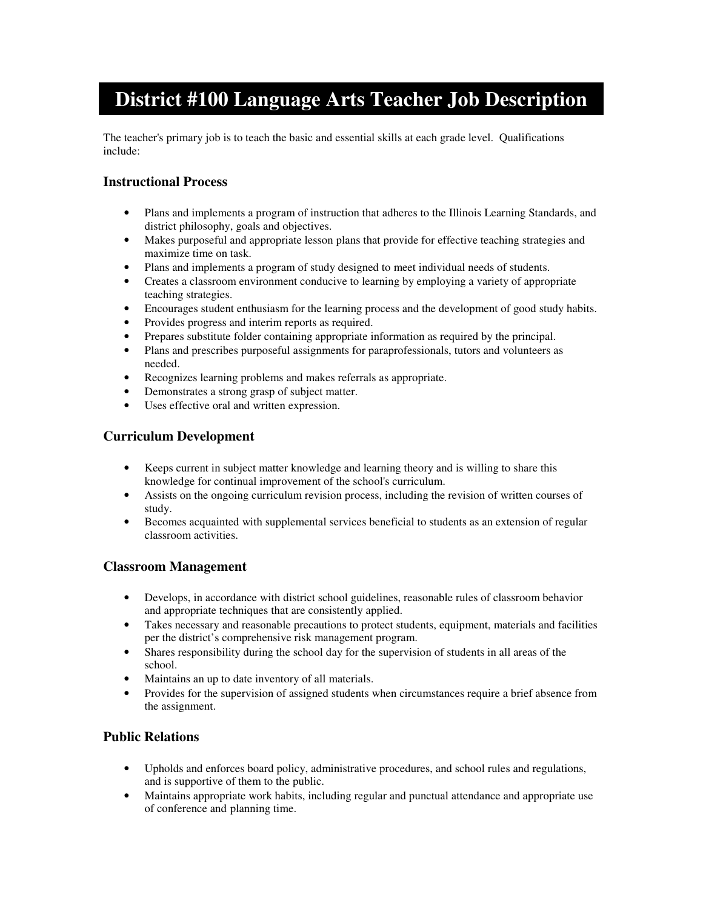# **District #100 Language Arts Teacher Job Description**

The teacher's primary job is to teach the basic and essential skills at each grade level. Qualifications include:

# **Instructional Process**

- Plans and implements a program of instruction that adheres to the Illinois Learning Standards, and district philosophy, goals and objectives.
- Makes purposeful and appropriate lesson plans that provide for effective teaching strategies and maximize time on task.
- Plans and implements a program of study designed to meet individual needs of students.
- Creates a classroom environment conducive to learning by employing a variety of appropriate teaching strategies.
- Encourages student enthusiasm for the learning process and the development of good study habits.
- Provides progress and interim reports as required.
- Prepares substitute folder containing appropriate information as required by the principal.
- Plans and prescribes purposeful assignments for paraprofessionals, tutors and volunteers as needed.
- Recognizes learning problems and makes referrals as appropriate.
- Demonstrates a strong grasp of subject matter.
- Uses effective oral and written expression.

### **Curriculum Development**

- Keeps current in subject matter knowledge and learning theory and is willing to share this knowledge for continual improvement of the school's curriculum.
- Assists on the ongoing curriculum revision process, including the revision of written courses of study.
- Becomes acquainted with supplemental services beneficial to students as an extension of regular classroom activities.

#### **Classroom Management**

- Develops, in accordance with district school guidelines, reasonable rules of classroom behavior and appropriate techniques that are consistently applied.
- Takes necessary and reasonable precautions to protect students, equipment, materials and facilities per the district's comprehensive risk management program.
- Shares responsibility during the school day for the supervision of students in all areas of the school.
- Maintains an up to date inventory of all materials.
- Provides for the supervision of assigned students when circumstances require a brief absence from the assignment.

#### **Public Relations**

- Upholds and enforces board policy, administrative procedures, and school rules and regulations, and is supportive of them to the public.
- Maintains appropriate work habits, including regular and punctual attendance and appropriate use of conference and planning time.